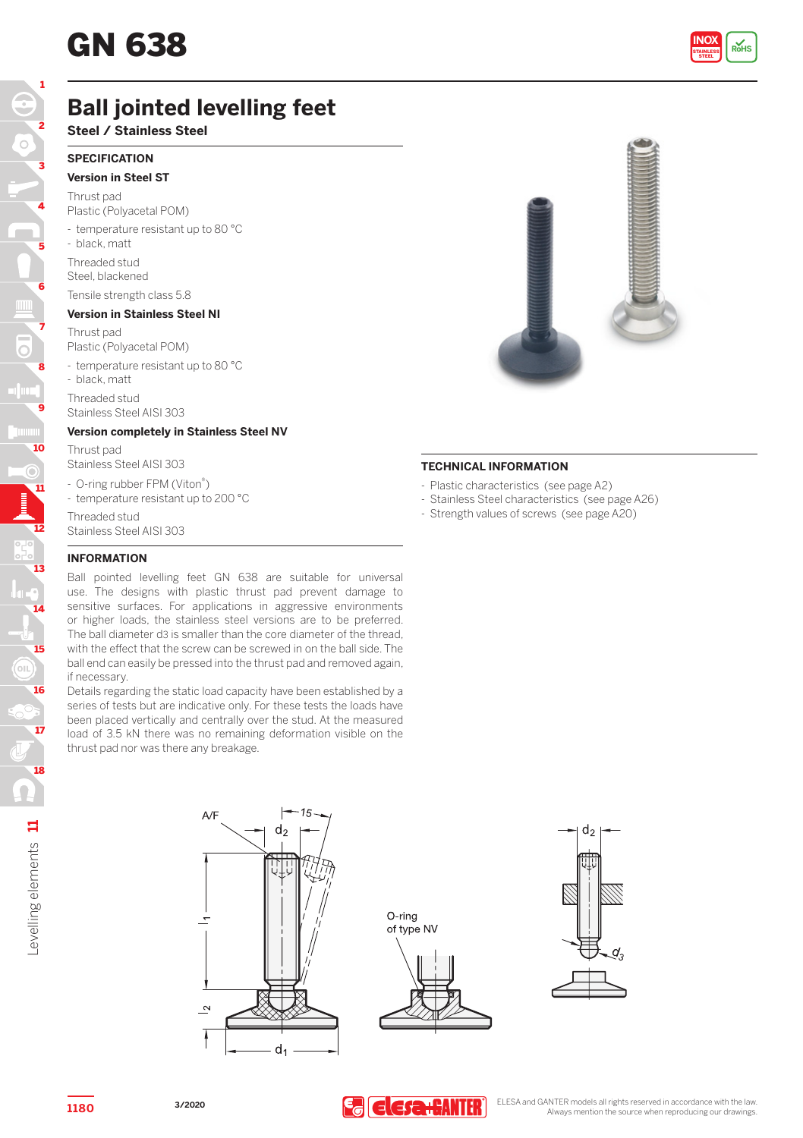

# **Ball jointed levelling feet**

**Steel / Stainless Steel**

## **SPECIFICATION Version in Steel ST**

Thrust pad

Plastic (Polyacetal POM)

- temperature resistant up to 80 °C

- black, matt

Threaded stud Steel, blackened

## Tensile strength class 5.8

**Version in Stainless Steel NI** Thrust pad

Plastic (Polyacetal POM)

- temperature resistant up to 80 °C - black, matt

Threaded stud Stainless Steel AISI 303

## **Version completely in Stainless Steel NV**

Thrust pad Stainless Steel AISI 303

- O-ring rubber FPM (Viton®)

- temperature resistant up to 200 °C

Threaded stud



## **TECHNICAL INFORMATION**

- Plastic characteristics (see page A2)
- Stainless Steel characteristics (see page A26)
- Strength values of screws (see page A20)

## **INFORMATION**

Ball pointed levelling feet GN 638 are suitable for universal use. The designs with plastic thrust pad prevent damage to sensitive surfaces. For applications in aggressive environments or higher loads, the stainless steel versions are to be preferred. The ball diameter d3 is smaller than the core diameter of the thread, with the effect that the screw can be screwed in on the ball side. The ball end can easily be pressed into the thrust pad and removed again, if necessary.

Details regarding the static load capacity have been established by a series of tests but are indicative only. For these tests the loads have been placed vertically and centrally over the stud. At the measured load of 3.5 kN there was no remaining deformation visible on the thrust pad nor was there any breakage.

12

11

10

 $\odot$ 

9

8

7

6

5

4

3

2

1





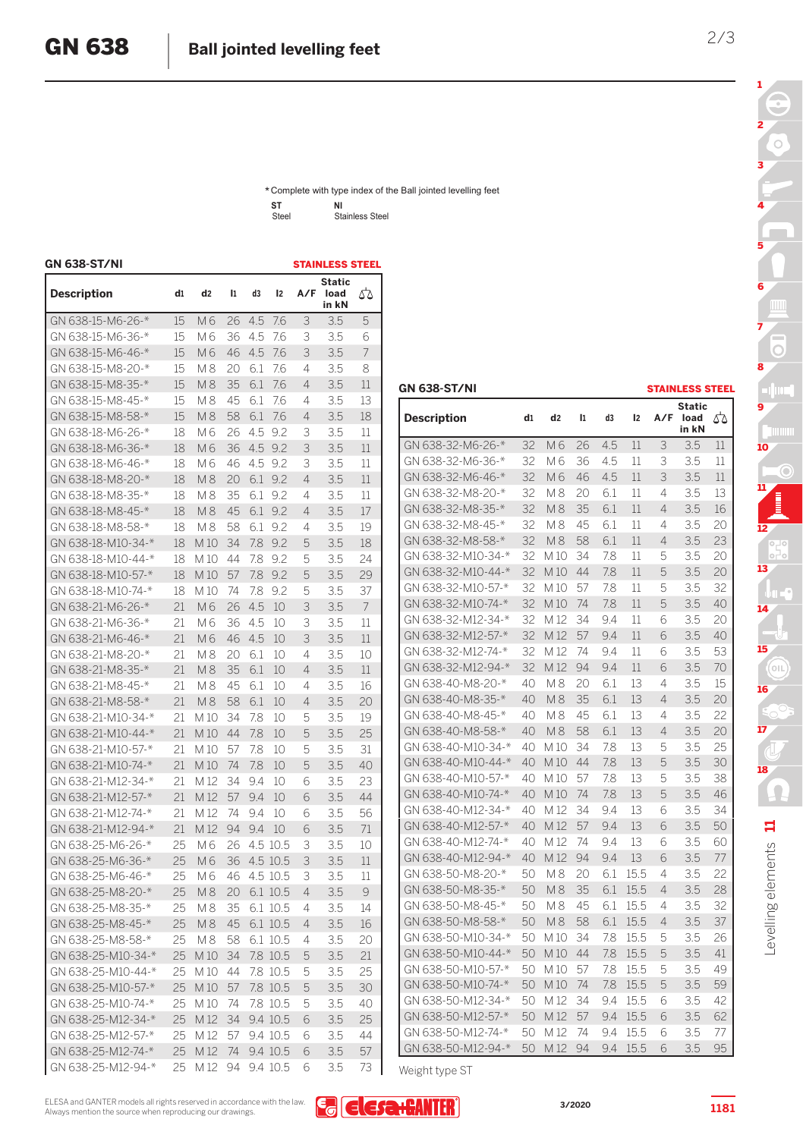\* Complete with type index of the Ball jointed levelling feet Steel Stainless Steel **ST NI**

| GN 638-ST/NI       |    |                |    |     |          |     | <b>STAINLESS STEEL</b>  |    |
|--------------------|----|----------------|----|-----|----------|-----|-------------------------|----|
| <b>Description</b> | d1 | d <sub>2</sub> | 11 | d3  | 12       | A/F | Static<br>load<br>in kN | ₫δ |
| GN 638-15-M6-26-*  | 15 | M6             | 26 | 4.5 | 7.6      | 3   | 3.5                     | 5  |
| GN 638-15-M6-36-*  | 15 | М6             | 36 | 4.5 | 7.6      | 3   | 3.5                     | 6  |
| GN 638-15-M6-46-*  | 15 | M6             | 46 | 4.5 | 7.6      | 3   | 3.5                     | 7  |
| GN 638-15-M8-20-*  | 15 | M8             | 20 | 6.1 | 7.6      | 4   | 3.5                     | 8  |
| GN 638-15-M8-35-*  | 15 | M8             | 35 | 6.1 | 7.6      | 4   | 3.5                     | 11 |
| GN 638-15-M8-45-*  | 15 | M8             | 45 | 6.1 | 7.6      | 4   | 3.5                     | 13 |
| GN 638-15-M8-58-*  | 15 | M8             | 58 | 6.1 | 7.6      | 4   | 3.5                     | 18 |
| GN 638-18-M6-26-*  | 18 | M 6            | 26 | 4.5 | 9.2      | 3   | 3.5                     | 11 |
| GN 638-18-M6-36-*  | 18 | M6             | 36 | 4.5 | 9.2      | 3   | 3.5                     | 11 |
| GN 638-18-M6-46-*  | 18 | M6             | 46 | 4.5 | 9.2      | 3   | 3.5                     | 11 |
| GN 638-18-M8-20-*  | 18 | <b>M8</b>      | 20 | 6.1 | 9.2      | 4   | 3.5                     | 11 |
| GN 638-18-M8-35-*  | 18 | M8             | 35 | 6.1 | 9.2      | 4   | 3.5                     | 11 |
| GN 638-18-M8-45-*  | 18 | <b>M8</b>      | 45 | 6.1 | 9.2      | 4   | 3.5                     | 17 |
| GN 638-18-M8-58-*  | 18 | M 8            | 58 | 6.1 | 9.2      | 4   | 3.5                     | 19 |
| GN 638-18-M10-34-* | 18 | M10            | 34 | 7.8 | 9.2      | 5   | 3.5                     | 18 |
| GN 638-18-M10-44-* | 18 | M10            | 44 | 7.8 | 9.2      | 5   | 3.5                     | 24 |
| GN 638-18-M10-57-* | 18 | M10            | 57 | 7.8 | 9.2      | 5   | 3.5                     | 29 |
| GN 638-18-M10-74-* | 18 | M10            | 74 | 7.8 | 9.2      | 5   | 3.5                     | 37 |
| GN 638-21-M6-26-*  | 21 | M6             | 26 | 4.5 | 10       | 3   | 3.5                     | 7  |
| GN 638-21-M6-36-*  | 21 | M6             | 36 | 4.5 | 10       | 3   | 3.5                     | 11 |
| GN 638-21-M6-46-*  | 21 | M6             | 46 | 4.5 | 10       | 3   | 3.5                     | 11 |
| GN 638-21-M8-20-*  | 21 | M8             | 20 | 6.1 | 10       | 4   | 3.5                     | 10 |
| GN 638-21-M8-35-*  | 21 | M8             | 35 | 6.1 | 10       | 4   | 3.5                     | 11 |
| GN 638-21-M8-45-*  | 21 | M 8            | 45 | 6.1 | 10       | 4   | 3.5                     | 16 |
| GN 638-21-M8-58-*  | 21 | M8             | 58 | 6.1 | 10       | 4   | 3.5                     | 20 |
| GN 638-21-M10-34-* | 21 | M 10           | 34 | 7.8 | 10       | 5   | 3.5                     | 19 |
| GN 638-21-M10-44-* | 21 | M10            | 44 | 7.8 | 10       | 5   | 3.5                     | 25 |
| GN 638-21-M10-57-* | 21 | M10            | 57 | 7.8 | 10       | 5   | 3.5                     | 31 |
| GN 638-21-M10-74-* | 21 | M10            | 74 | 7.8 | 10       | 5   | 3.5                     | 40 |
| GN 638-21-M12-34-* | 21 | M 12           | 34 | 9.4 | 10       | 6   | 3.5                     | 23 |
| GN 638-21-M12-57-* | 21 | M 12           | 57 | 9.4 | 10       | 6   | 3.5                     | 44 |
| GN 638-21-M12-74-* | 21 | M 12           | 74 | 9.4 | 10       | 6   | 3.5                     | 56 |
| GN 638-21-M12-94-* | 21 | M 12           | 94 | 9.4 | 10       | 6   | 3.5                     | 71 |
| GN 638-25-M6-26-*  | 25 | M6             | 26 |     | 4.5 10.5 | 3   | 3.5                     | 10 |
| GN 638-25-M6-36-*  | 25 | M6             | 36 |     | 4.5 10.5 | 3   | 3.5                     | 11 |
| GN 638-25-M6-46-*  | 25 | M 6            | 46 |     | 4.5 10.5 | 3   | 3.5                     | 11 |
| GN 638-25-M8-20-*  | 25 | <b>M8</b>      | 20 |     | 6.1 10.5 | 4   | 3.5                     | 9  |
| GN 638-25-M8-35-*  | 25 | M8             | 35 | 6.1 | 10.5     | 4   | 3.5                     | 14 |
| GN 638-25-M8-45-*  | 25 | M8             | 45 |     | 6.1 10.5 | 4   | 3.5                     | 16 |
| GN 638-25-M8-58-*  | 25 | M 8            | 58 |     | 6.1 10.5 | 4   | 3.5                     | 20 |
| GN 638-25-M10-34-* | 25 | M10            | 34 | 7.8 | 10.5     | 5   | 3.5                     | 21 |
| GN 638-25-M10-44-* | 25 | M10            | 44 | 7.8 | 10.5     | 5   | 3.5                     | 25 |
| GN 638-25-M10-57-* | 25 | M10            | 57 | 7.8 | 10.5     | 5   | 3.5                     | 30 |
| GN 638-25-M10-74-* | 25 | M10            | 74 |     | 7.8 10.5 | 5   | 3.5                     | 40 |
| GN 638-25-M12-34-* | 25 | M 12           | 34 |     | 9.4 10.5 | 6   | 3.5                     | 25 |
| GN 638-25-M12-57-* | 25 | M 12           | 57 | 9.4 | 10.5     | 6   | 3.5                     | 44 |
| GN 638-25-M12-74-* | 25 | M12            | 74 |     | 9.4 10.5 | 6   | 3.5                     | 57 |
|                    |    |                |    |     |          |     |                         |    |

2/3

| <b>Static</b><br>A/F<br>ΔЪ<br><b>Description</b><br>d1<br>d <sub>2</sub><br>I1<br>d3<br>12<br>load<br>in kN<br>32<br>GN 638-32-M6-26-*<br>M6<br>26<br>4.5<br>11<br>3<br>3.5<br>11<br>3<br>GN 638-32-M6-36-*<br>32<br>M6<br>36<br>4.5<br>11<br>3.5<br>11<br>GN 638-32-M6-46-*<br>32<br>46<br>4.5<br>11<br>3<br>3.5<br>11<br>M 6<br>13<br>GN 638-32-M8-20-*<br>32<br>M8<br>20<br>6.1<br>11<br>4<br>3.5<br>32<br>35<br>6.1<br>11<br>$\overline{4}$<br>3.5<br>16<br>GN 638-32-M8-35-*<br>M8<br>45<br>GN 638-32-M8-45-*<br>32<br>M 8<br>6.1<br>11<br>4<br>3.5<br>20<br>23<br>GN 638-32-M8-58-*<br>32<br>M8<br>58<br>6.1<br>11<br>$\overline{4}$<br>3.5<br>20<br>GN 638-32-M10-34-*<br>32<br>M 10<br>34<br>7.8<br>11<br>5<br>3.5<br>GN 638-32-M10-44-*<br>32<br>M 10<br>7.8<br>11<br>5<br>3.5<br>20<br>44<br>GN 638-32-M10-57-*<br>32<br>M 10<br>7.8<br>11<br>5<br>3.5<br>32<br>57<br>5<br>GN 638-32-M10-74-*<br>32<br>7.8<br>11<br>3.5<br>40<br>M 10<br>74<br>GN 638-32-M12-34-*<br>32<br>M <sub>12</sub><br>9.4<br>11<br>6<br>3.5<br>20<br>34<br>32<br>11<br>6<br>GN 638-32-M12-57-*<br>M <sub>12</sub><br>57<br>9.4<br>3.5<br>40<br>GN 638-32-M12-74-*<br>32<br>M <sub>12</sub><br>74<br>9.4<br>11<br>6<br>3.5<br>53<br>94<br>6<br>70<br>GN 638-32-M12-94-*<br>32<br>M <sub>12</sub><br>9.4<br>11<br>3.5<br>GN 638-40-M8-20-*<br>40<br><b>M8</b><br>20<br>6.1<br>13<br>4<br>3.5<br>15<br>40<br>M8<br>35<br>6.1<br>13<br>$\overline{4}$<br>3.5<br>20<br>GN 638-40-M8-35-*<br>45<br>13<br>GN 638-40-M8-45-*<br>40<br>M8<br>6.1<br>4<br>3.5<br>22<br>40<br>M8<br>58<br>6.1<br>13<br>$\overline{4}$<br>3.5<br>20<br>GN 638-40-M8-58-*<br>7.8<br>GN 638-40-M10-34-*<br>40<br>M 10<br>34<br>13<br>5<br>3.5<br>25<br>13<br>5<br>GN 638-40-M10-44-*<br>40<br>M 10<br>44<br>7.8<br>3.5<br>30<br>5<br>38<br>GN 638-40-M10-57-*<br>40<br>M 10<br>57<br>7.8<br>13<br>3.5<br>13<br>40<br>M 10<br>7.8<br>5<br>3.5<br>46<br>GN 638-40-M10-74-*<br>74<br>GN 638-40-M12-34-*<br>40<br>M <sub>12</sub><br>34<br>9.4<br>13<br>6<br>3.5<br>34<br>GN 638-40-M12-57-*<br>M12<br>9.4<br>13<br>6<br>3.5<br>50<br>40<br>57<br>GN 638-40-M12-74-*<br>40<br>M <sub>12</sub><br>9.4<br>13<br>6<br>3.5<br>60<br>74<br>13<br>6<br>GN 638-40-M12-94-*<br>40<br>M <sub>12</sub><br>94<br>9.4<br>3.5<br>77<br>GN 638-50-M8-20-*<br>50<br>M8<br>20<br>6.1<br>15.5<br>4<br>3.5<br>22<br>$\overline{4}$<br>GN 638-50-M8-35-*<br>50<br>35<br>6.1<br>15.5<br>3.5<br>28<br>M8<br>GN 638-50-M8-45-*<br>50<br>M8<br>45<br>6.1<br>15.5<br>3.5<br>32<br>4<br>50<br>M8<br>58<br>6.1<br>15.5<br>$\overline{4}$<br>3.5<br>37<br>GN 638-50-M8-58-*<br>GN 638-50-M10-34-*<br>50<br>M 10<br>34<br>7.8<br>15.5<br>5<br>3.5<br>26<br>50<br>5<br>3.5<br>41<br>GN 638-50-M10-44-*<br>M 10<br>44<br>7.8<br>15.5<br>7.8<br>15.5<br>GN 638-50-M10-57-*<br>50<br>M 10<br>57<br>5<br>3.5<br>49<br>5<br>50<br>M 10<br>74<br>7.8<br>15.5<br>3.5<br>59<br>GN 638-50-M10-74-*<br>50<br>M <sub>12</sub><br>9.4<br>15.5<br>6<br>3.5<br>42<br>GN 638-50-M12-34-*<br>34<br>GN 638-50-M12-57-*<br>50<br>M <sub>12</sub><br>57<br>9.4<br>15.5<br>6<br>3.5<br>62<br>GN 638-50-M12-74-*<br>50<br>M <sub>12</sub><br>74<br>9.4<br>15.5<br>6<br>3.5<br>77<br>M12<br>94<br>9.4<br>15.5<br>6<br>3.5<br>95<br>50 | <b>GN 638-ST/NI</b> |  |  |  | <b>STAINLESS STEEL</b> |  |
|------------------------------------------------------------------------------------------------------------------------------------------------------------------------------------------------------------------------------------------------------------------------------------------------------------------------------------------------------------------------------------------------------------------------------------------------------------------------------------------------------------------------------------------------------------------------------------------------------------------------------------------------------------------------------------------------------------------------------------------------------------------------------------------------------------------------------------------------------------------------------------------------------------------------------------------------------------------------------------------------------------------------------------------------------------------------------------------------------------------------------------------------------------------------------------------------------------------------------------------------------------------------------------------------------------------------------------------------------------------------------------------------------------------------------------------------------------------------------------------------------------------------------------------------------------------------------------------------------------------------------------------------------------------------------------------------------------------------------------------------------------------------------------------------------------------------------------------------------------------------------------------------------------------------------------------------------------------------------------------------------------------------------------------------------------------------------------------------------------------------------------------------------------------------------------------------------------------------------------------------------------------------------------------------------------------------------------------------------------------------------------------------------------------------------------------------------------------------------------------------------------------------------------------------------------------------------------------------------------------------------------------------------------------------------------------------------------------------------------------------------------------------------------------------------------------------------------------------------------------------------------------------------------------------------------------------------------------------------------------------------------------------------------------------------------------------------------------------------------------------------------------------------------------------------------------------------------------------------------|---------------------|--|--|--|------------------------|--|
|                                                                                                                                                                                                                                                                                                                                                                                                                                                                                                                                                                                                                                                                                                                                                                                                                                                                                                                                                                                                                                                                                                                                                                                                                                                                                                                                                                                                                                                                                                                                                                                                                                                                                                                                                                                                                                                                                                                                                                                                                                                                                                                                                                                                                                                                                                                                                                                                                                                                                                                                                                                                                                                                                                                                                                                                                                                                                                                                                                                                                                                                                                                                                                                                                                    |                     |  |  |  |                        |  |
|                                                                                                                                                                                                                                                                                                                                                                                                                                                                                                                                                                                                                                                                                                                                                                                                                                                                                                                                                                                                                                                                                                                                                                                                                                                                                                                                                                                                                                                                                                                                                                                                                                                                                                                                                                                                                                                                                                                                                                                                                                                                                                                                                                                                                                                                                                                                                                                                                                                                                                                                                                                                                                                                                                                                                                                                                                                                                                                                                                                                                                                                                                                                                                                                                                    |                     |  |  |  |                        |  |
|                                                                                                                                                                                                                                                                                                                                                                                                                                                                                                                                                                                                                                                                                                                                                                                                                                                                                                                                                                                                                                                                                                                                                                                                                                                                                                                                                                                                                                                                                                                                                                                                                                                                                                                                                                                                                                                                                                                                                                                                                                                                                                                                                                                                                                                                                                                                                                                                                                                                                                                                                                                                                                                                                                                                                                                                                                                                                                                                                                                                                                                                                                                                                                                                                                    |                     |  |  |  |                        |  |
|                                                                                                                                                                                                                                                                                                                                                                                                                                                                                                                                                                                                                                                                                                                                                                                                                                                                                                                                                                                                                                                                                                                                                                                                                                                                                                                                                                                                                                                                                                                                                                                                                                                                                                                                                                                                                                                                                                                                                                                                                                                                                                                                                                                                                                                                                                                                                                                                                                                                                                                                                                                                                                                                                                                                                                                                                                                                                                                                                                                                                                                                                                                                                                                                                                    |                     |  |  |  |                        |  |
|                                                                                                                                                                                                                                                                                                                                                                                                                                                                                                                                                                                                                                                                                                                                                                                                                                                                                                                                                                                                                                                                                                                                                                                                                                                                                                                                                                                                                                                                                                                                                                                                                                                                                                                                                                                                                                                                                                                                                                                                                                                                                                                                                                                                                                                                                                                                                                                                                                                                                                                                                                                                                                                                                                                                                                                                                                                                                                                                                                                                                                                                                                                                                                                                                                    |                     |  |  |  |                        |  |
|                                                                                                                                                                                                                                                                                                                                                                                                                                                                                                                                                                                                                                                                                                                                                                                                                                                                                                                                                                                                                                                                                                                                                                                                                                                                                                                                                                                                                                                                                                                                                                                                                                                                                                                                                                                                                                                                                                                                                                                                                                                                                                                                                                                                                                                                                                                                                                                                                                                                                                                                                                                                                                                                                                                                                                                                                                                                                                                                                                                                                                                                                                                                                                                                                                    |                     |  |  |  |                        |  |
|                                                                                                                                                                                                                                                                                                                                                                                                                                                                                                                                                                                                                                                                                                                                                                                                                                                                                                                                                                                                                                                                                                                                                                                                                                                                                                                                                                                                                                                                                                                                                                                                                                                                                                                                                                                                                                                                                                                                                                                                                                                                                                                                                                                                                                                                                                                                                                                                                                                                                                                                                                                                                                                                                                                                                                                                                                                                                                                                                                                                                                                                                                                                                                                                                                    |                     |  |  |  |                        |  |
|                                                                                                                                                                                                                                                                                                                                                                                                                                                                                                                                                                                                                                                                                                                                                                                                                                                                                                                                                                                                                                                                                                                                                                                                                                                                                                                                                                                                                                                                                                                                                                                                                                                                                                                                                                                                                                                                                                                                                                                                                                                                                                                                                                                                                                                                                                                                                                                                                                                                                                                                                                                                                                                                                                                                                                                                                                                                                                                                                                                                                                                                                                                                                                                                                                    |                     |  |  |  |                        |  |
|                                                                                                                                                                                                                                                                                                                                                                                                                                                                                                                                                                                                                                                                                                                                                                                                                                                                                                                                                                                                                                                                                                                                                                                                                                                                                                                                                                                                                                                                                                                                                                                                                                                                                                                                                                                                                                                                                                                                                                                                                                                                                                                                                                                                                                                                                                                                                                                                                                                                                                                                                                                                                                                                                                                                                                                                                                                                                                                                                                                                                                                                                                                                                                                                                                    |                     |  |  |  |                        |  |
|                                                                                                                                                                                                                                                                                                                                                                                                                                                                                                                                                                                                                                                                                                                                                                                                                                                                                                                                                                                                                                                                                                                                                                                                                                                                                                                                                                                                                                                                                                                                                                                                                                                                                                                                                                                                                                                                                                                                                                                                                                                                                                                                                                                                                                                                                                                                                                                                                                                                                                                                                                                                                                                                                                                                                                                                                                                                                                                                                                                                                                                                                                                                                                                                                                    |                     |  |  |  |                        |  |
|                                                                                                                                                                                                                                                                                                                                                                                                                                                                                                                                                                                                                                                                                                                                                                                                                                                                                                                                                                                                                                                                                                                                                                                                                                                                                                                                                                                                                                                                                                                                                                                                                                                                                                                                                                                                                                                                                                                                                                                                                                                                                                                                                                                                                                                                                                                                                                                                                                                                                                                                                                                                                                                                                                                                                                                                                                                                                                                                                                                                                                                                                                                                                                                                                                    |                     |  |  |  |                        |  |
|                                                                                                                                                                                                                                                                                                                                                                                                                                                                                                                                                                                                                                                                                                                                                                                                                                                                                                                                                                                                                                                                                                                                                                                                                                                                                                                                                                                                                                                                                                                                                                                                                                                                                                                                                                                                                                                                                                                                                                                                                                                                                                                                                                                                                                                                                                                                                                                                                                                                                                                                                                                                                                                                                                                                                                                                                                                                                                                                                                                                                                                                                                                                                                                                                                    |                     |  |  |  |                        |  |
|                                                                                                                                                                                                                                                                                                                                                                                                                                                                                                                                                                                                                                                                                                                                                                                                                                                                                                                                                                                                                                                                                                                                                                                                                                                                                                                                                                                                                                                                                                                                                                                                                                                                                                                                                                                                                                                                                                                                                                                                                                                                                                                                                                                                                                                                                                                                                                                                                                                                                                                                                                                                                                                                                                                                                                                                                                                                                                                                                                                                                                                                                                                                                                                                                                    |                     |  |  |  |                        |  |
|                                                                                                                                                                                                                                                                                                                                                                                                                                                                                                                                                                                                                                                                                                                                                                                                                                                                                                                                                                                                                                                                                                                                                                                                                                                                                                                                                                                                                                                                                                                                                                                                                                                                                                                                                                                                                                                                                                                                                                                                                                                                                                                                                                                                                                                                                                                                                                                                                                                                                                                                                                                                                                                                                                                                                                                                                                                                                                                                                                                                                                                                                                                                                                                                                                    |                     |  |  |  |                        |  |
|                                                                                                                                                                                                                                                                                                                                                                                                                                                                                                                                                                                                                                                                                                                                                                                                                                                                                                                                                                                                                                                                                                                                                                                                                                                                                                                                                                                                                                                                                                                                                                                                                                                                                                                                                                                                                                                                                                                                                                                                                                                                                                                                                                                                                                                                                                                                                                                                                                                                                                                                                                                                                                                                                                                                                                                                                                                                                                                                                                                                                                                                                                                                                                                                                                    |                     |  |  |  |                        |  |
|                                                                                                                                                                                                                                                                                                                                                                                                                                                                                                                                                                                                                                                                                                                                                                                                                                                                                                                                                                                                                                                                                                                                                                                                                                                                                                                                                                                                                                                                                                                                                                                                                                                                                                                                                                                                                                                                                                                                                                                                                                                                                                                                                                                                                                                                                                                                                                                                                                                                                                                                                                                                                                                                                                                                                                                                                                                                                                                                                                                                                                                                                                                                                                                                                                    |                     |  |  |  |                        |  |
|                                                                                                                                                                                                                                                                                                                                                                                                                                                                                                                                                                                                                                                                                                                                                                                                                                                                                                                                                                                                                                                                                                                                                                                                                                                                                                                                                                                                                                                                                                                                                                                                                                                                                                                                                                                                                                                                                                                                                                                                                                                                                                                                                                                                                                                                                                                                                                                                                                                                                                                                                                                                                                                                                                                                                                                                                                                                                                                                                                                                                                                                                                                                                                                                                                    |                     |  |  |  |                        |  |
|                                                                                                                                                                                                                                                                                                                                                                                                                                                                                                                                                                                                                                                                                                                                                                                                                                                                                                                                                                                                                                                                                                                                                                                                                                                                                                                                                                                                                                                                                                                                                                                                                                                                                                                                                                                                                                                                                                                                                                                                                                                                                                                                                                                                                                                                                                                                                                                                                                                                                                                                                                                                                                                                                                                                                                                                                                                                                                                                                                                                                                                                                                                                                                                                                                    |                     |  |  |  |                        |  |
|                                                                                                                                                                                                                                                                                                                                                                                                                                                                                                                                                                                                                                                                                                                                                                                                                                                                                                                                                                                                                                                                                                                                                                                                                                                                                                                                                                                                                                                                                                                                                                                                                                                                                                                                                                                                                                                                                                                                                                                                                                                                                                                                                                                                                                                                                                                                                                                                                                                                                                                                                                                                                                                                                                                                                                                                                                                                                                                                                                                                                                                                                                                                                                                                                                    |                     |  |  |  |                        |  |
|                                                                                                                                                                                                                                                                                                                                                                                                                                                                                                                                                                                                                                                                                                                                                                                                                                                                                                                                                                                                                                                                                                                                                                                                                                                                                                                                                                                                                                                                                                                                                                                                                                                                                                                                                                                                                                                                                                                                                                                                                                                                                                                                                                                                                                                                                                                                                                                                                                                                                                                                                                                                                                                                                                                                                                                                                                                                                                                                                                                                                                                                                                                                                                                                                                    |                     |  |  |  |                        |  |
|                                                                                                                                                                                                                                                                                                                                                                                                                                                                                                                                                                                                                                                                                                                                                                                                                                                                                                                                                                                                                                                                                                                                                                                                                                                                                                                                                                                                                                                                                                                                                                                                                                                                                                                                                                                                                                                                                                                                                                                                                                                                                                                                                                                                                                                                                                                                                                                                                                                                                                                                                                                                                                                                                                                                                                                                                                                                                                                                                                                                                                                                                                                                                                                                                                    |                     |  |  |  |                        |  |
|                                                                                                                                                                                                                                                                                                                                                                                                                                                                                                                                                                                                                                                                                                                                                                                                                                                                                                                                                                                                                                                                                                                                                                                                                                                                                                                                                                                                                                                                                                                                                                                                                                                                                                                                                                                                                                                                                                                                                                                                                                                                                                                                                                                                                                                                                                                                                                                                                                                                                                                                                                                                                                                                                                                                                                                                                                                                                                                                                                                                                                                                                                                                                                                                                                    |                     |  |  |  |                        |  |
|                                                                                                                                                                                                                                                                                                                                                                                                                                                                                                                                                                                                                                                                                                                                                                                                                                                                                                                                                                                                                                                                                                                                                                                                                                                                                                                                                                                                                                                                                                                                                                                                                                                                                                                                                                                                                                                                                                                                                                                                                                                                                                                                                                                                                                                                                                                                                                                                                                                                                                                                                                                                                                                                                                                                                                                                                                                                                                                                                                                                                                                                                                                                                                                                                                    |                     |  |  |  |                        |  |
|                                                                                                                                                                                                                                                                                                                                                                                                                                                                                                                                                                                                                                                                                                                                                                                                                                                                                                                                                                                                                                                                                                                                                                                                                                                                                                                                                                                                                                                                                                                                                                                                                                                                                                                                                                                                                                                                                                                                                                                                                                                                                                                                                                                                                                                                                                                                                                                                                                                                                                                                                                                                                                                                                                                                                                                                                                                                                                                                                                                                                                                                                                                                                                                                                                    |                     |  |  |  |                        |  |
|                                                                                                                                                                                                                                                                                                                                                                                                                                                                                                                                                                                                                                                                                                                                                                                                                                                                                                                                                                                                                                                                                                                                                                                                                                                                                                                                                                                                                                                                                                                                                                                                                                                                                                                                                                                                                                                                                                                                                                                                                                                                                                                                                                                                                                                                                                                                                                                                                                                                                                                                                                                                                                                                                                                                                                                                                                                                                                                                                                                                                                                                                                                                                                                                                                    |                     |  |  |  |                        |  |
|                                                                                                                                                                                                                                                                                                                                                                                                                                                                                                                                                                                                                                                                                                                                                                                                                                                                                                                                                                                                                                                                                                                                                                                                                                                                                                                                                                                                                                                                                                                                                                                                                                                                                                                                                                                                                                                                                                                                                                                                                                                                                                                                                                                                                                                                                                                                                                                                                                                                                                                                                                                                                                                                                                                                                                                                                                                                                                                                                                                                                                                                                                                                                                                                                                    |                     |  |  |  |                        |  |
|                                                                                                                                                                                                                                                                                                                                                                                                                                                                                                                                                                                                                                                                                                                                                                                                                                                                                                                                                                                                                                                                                                                                                                                                                                                                                                                                                                                                                                                                                                                                                                                                                                                                                                                                                                                                                                                                                                                                                                                                                                                                                                                                                                                                                                                                                                                                                                                                                                                                                                                                                                                                                                                                                                                                                                                                                                                                                                                                                                                                                                                                                                                                                                                                                                    |                     |  |  |  |                        |  |
|                                                                                                                                                                                                                                                                                                                                                                                                                                                                                                                                                                                                                                                                                                                                                                                                                                                                                                                                                                                                                                                                                                                                                                                                                                                                                                                                                                                                                                                                                                                                                                                                                                                                                                                                                                                                                                                                                                                                                                                                                                                                                                                                                                                                                                                                                                                                                                                                                                                                                                                                                                                                                                                                                                                                                                                                                                                                                                                                                                                                                                                                                                                                                                                                                                    |                     |  |  |  |                        |  |
|                                                                                                                                                                                                                                                                                                                                                                                                                                                                                                                                                                                                                                                                                                                                                                                                                                                                                                                                                                                                                                                                                                                                                                                                                                                                                                                                                                                                                                                                                                                                                                                                                                                                                                                                                                                                                                                                                                                                                                                                                                                                                                                                                                                                                                                                                                                                                                                                                                                                                                                                                                                                                                                                                                                                                                                                                                                                                                                                                                                                                                                                                                                                                                                                                                    |                     |  |  |  |                        |  |
|                                                                                                                                                                                                                                                                                                                                                                                                                                                                                                                                                                                                                                                                                                                                                                                                                                                                                                                                                                                                                                                                                                                                                                                                                                                                                                                                                                                                                                                                                                                                                                                                                                                                                                                                                                                                                                                                                                                                                                                                                                                                                                                                                                                                                                                                                                                                                                                                                                                                                                                                                                                                                                                                                                                                                                                                                                                                                                                                                                                                                                                                                                                                                                                                                                    |                     |  |  |  |                        |  |
|                                                                                                                                                                                                                                                                                                                                                                                                                                                                                                                                                                                                                                                                                                                                                                                                                                                                                                                                                                                                                                                                                                                                                                                                                                                                                                                                                                                                                                                                                                                                                                                                                                                                                                                                                                                                                                                                                                                                                                                                                                                                                                                                                                                                                                                                                                                                                                                                                                                                                                                                                                                                                                                                                                                                                                                                                                                                                                                                                                                                                                                                                                                                                                                                                                    |                     |  |  |  |                        |  |
|                                                                                                                                                                                                                                                                                                                                                                                                                                                                                                                                                                                                                                                                                                                                                                                                                                                                                                                                                                                                                                                                                                                                                                                                                                                                                                                                                                                                                                                                                                                                                                                                                                                                                                                                                                                                                                                                                                                                                                                                                                                                                                                                                                                                                                                                                                                                                                                                                                                                                                                                                                                                                                                                                                                                                                                                                                                                                                                                                                                                                                                                                                                                                                                                                                    |                     |  |  |  |                        |  |
|                                                                                                                                                                                                                                                                                                                                                                                                                                                                                                                                                                                                                                                                                                                                                                                                                                                                                                                                                                                                                                                                                                                                                                                                                                                                                                                                                                                                                                                                                                                                                                                                                                                                                                                                                                                                                                                                                                                                                                                                                                                                                                                                                                                                                                                                                                                                                                                                                                                                                                                                                                                                                                                                                                                                                                                                                                                                                                                                                                                                                                                                                                                                                                                                                                    |                     |  |  |  |                        |  |
|                                                                                                                                                                                                                                                                                                                                                                                                                                                                                                                                                                                                                                                                                                                                                                                                                                                                                                                                                                                                                                                                                                                                                                                                                                                                                                                                                                                                                                                                                                                                                                                                                                                                                                                                                                                                                                                                                                                                                                                                                                                                                                                                                                                                                                                                                                                                                                                                                                                                                                                                                                                                                                                                                                                                                                                                                                                                                                                                                                                                                                                                                                                                                                                                                                    |                     |  |  |  |                        |  |
|                                                                                                                                                                                                                                                                                                                                                                                                                                                                                                                                                                                                                                                                                                                                                                                                                                                                                                                                                                                                                                                                                                                                                                                                                                                                                                                                                                                                                                                                                                                                                                                                                                                                                                                                                                                                                                                                                                                                                                                                                                                                                                                                                                                                                                                                                                                                                                                                                                                                                                                                                                                                                                                                                                                                                                                                                                                                                                                                                                                                                                                                                                                                                                                                                                    |                     |  |  |  |                        |  |
|                                                                                                                                                                                                                                                                                                                                                                                                                                                                                                                                                                                                                                                                                                                                                                                                                                                                                                                                                                                                                                                                                                                                                                                                                                                                                                                                                                                                                                                                                                                                                                                                                                                                                                                                                                                                                                                                                                                                                                                                                                                                                                                                                                                                                                                                                                                                                                                                                                                                                                                                                                                                                                                                                                                                                                                                                                                                                                                                                                                                                                                                                                                                                                                                                                    |                     |  |  |  |                        |  |
|                                                                                                                                                                                                                                                                                                                                                                                                                                                                                                                                                                                                                                                                                                                                                                                                                                                                                                                                                                                                                                                                                                                                                                                                                                                                                                                                                                                                                                                                                                                                                                                                                                                                                                                                                                                                                                                                                                                                                                                                                                                                                                                                                                                                                                                                                                                                                                                                                                                                                                                                                                                                                                                                                                                                                                                                                                                                                                                                                                                                                                                                                                                                                                                                                                    |                     |  |  |  |                        |  |
|                                                                                                                                                                                                                                                                                                                                                                                                                                                                                                                                                                                                                                                                                                                                                                                                                                                                                                                                                                                                                                                                                                                                                                                                                                                                                                                                                                                                                                                                                                                                                                                                                                                                                                                                                                                                                                                                                                                                                                                                                                                                                                                                                                                                                                                                                                                                                                                                                                                                                                                                                                                                                                                                                                                                                                                                                                                                                                                                                                                                                                                                                                                                                                                                                                    |                     |  |  |  |                        |  |
|                                                                                                                                                                                                                                                                                                                                                                                                                                                                                                                                                                                                                                                                                                                                                                                                                                                                                                                                                                                                                                                                                                                                                                                                                                                                                                                                                                                                                                                                                                                                                                                                                                                                                                                                                                                                                                                                                                                                                                                                                                                                                                                                                                                                                                                                                                                                                                                                                                                                                                                                                                                                                                                                                                                                                                                                                                                                                                                                                                                                                                                                                                                                                                                                                                    |                     |  |  |  |                        |  |
|                                                                                                                                                                                                                                                                                                                                                                                                                                                                                                                                                                                                                                                                                                                                                                                                                                                                                                                                                                                                                                                                                                                                                                                                                                                                                                                                                                                                                                                                                                                                                                                                                                                                                                                                                                                                                                                                                                                                                                                                                                                                                                                                                                                                                                                                                                                                                                                                                                                                                                                                                                                                                                                                                                                                                                                                                                                                                                                                                                                                                                                                                                                                                                                                                                    | GN 638-50-M12-94-*  |  |  |  |                        |  |

Weight type ST

**3/2020**